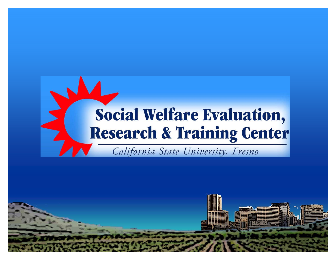

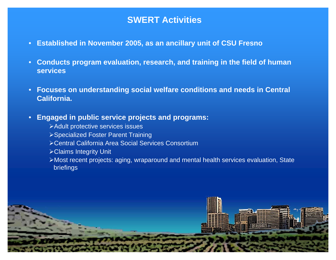### **SWERT Activities**

- $\bullet$ **Established in November 2005, as an ancillary unit of CSU Fresno**
- $\bullet$  **Conducts program evaluation, research, and training in the field of human services**
- $\bullet$  **Focuses on understanding social welfare conditions and needs in Central California.**

#### $\bullet$ **Engaged in public service projects and programs:**

- ¾Adult protective services issues
- ¾Specialized Foster Parent Training
- ¾Central California Area Social Services Consortium
- ¾Claims Integrity Unit
- ¾Most recent projects: aging, wraparound and mental health services evaluation, State briefings

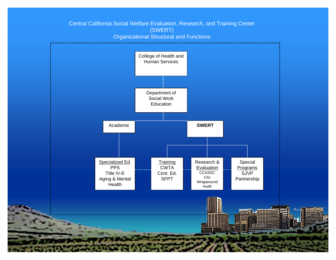#### Central California Social Welfare Evaluation, Research, and Training Center (SWERT) Organizational Structural and Functions

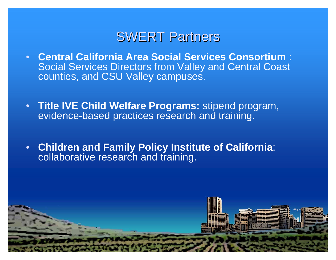## **SWERT Partners**

- $\bullet$  **Central California Area Social Services Consortium** : Social Services Directors from Valley and Central Coast counties, and CSU Valley campuses.
- **Title IVE Child Welfare Programs:** stipend program, evidence-based practices research and training.
- • **Children and Family Policy Institute of California**: collaborative research and training.

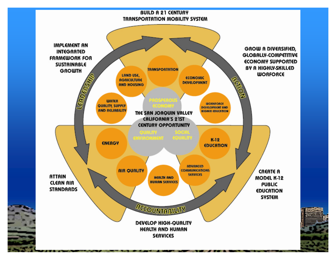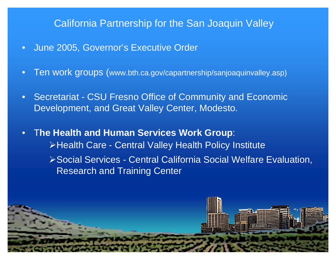### California Partnership for the San Joaquin Valley

- $\bullet$ June 2005, Governor's Executive Order
- $\bullet$ Ten work groups (www.bth.ca.gov/capartnership/sanjoaquinvalley.asp)
- $\bullet$  Secretariat - CSU Fresno Office of Community and Economic Development, and Great Valley Center, Modesto.
- $\bullet$  T**he Health and Human Services Work Group**: ¾Health Care - Central Valley Health Policy Institute

¾Social Services - Central California Social Welfare Evaluation, Research and Training Center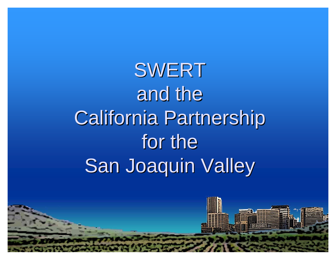SWERT and the **California Partnership** for the San Joaquin Valley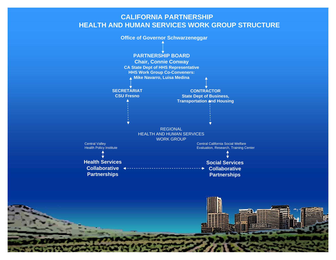#### **CALIFORNIA PARTNERSHIP HEALTH AND HUMAN SERVICES WORK GROUP STRUCTURE**



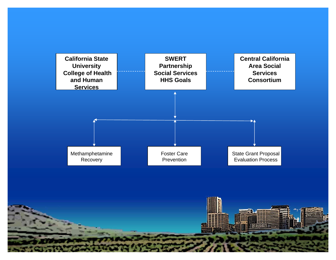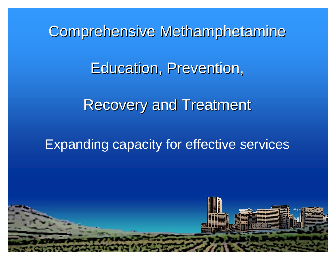Comprehensive Methamphetamine **Education, Prevention, Recovery and Treatment** 

## Expanding capacity for effective services

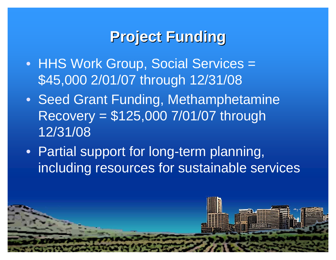# **Project Funding Project Funding**

- HHS Work Group, Social Services = \$45,000 2/01/07 through 12/31/08
- Seed Grant Funding, Methamphetamine Recovery = \$125,000 7/01/07 through 12/31/08
- Partial support for long-term planning, including resources for sustainable services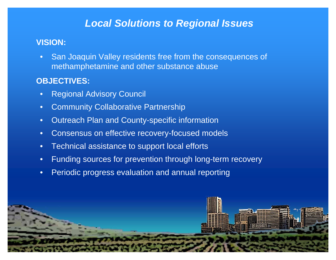## *Local Solutions to Regional Issues*

#### **VISION:**

 $\bullet$  San Joaquin Valley residents free from the consequences of methamphetamine and other substance abuse

### **OBJECTIVES:**

- $\bullet$ Regional Advisory Council
- $\bullet$ Community Collaborative Partnership
- $\bullet$ Outreach Plan and County-specific information
- •Consensus on effective recovery-focused models
- $\bullet$ Technical assistance to support local efforts
- $\bullet$ Funding sources for prevention through long-term recovery
- $\bullet$ Periodic progress evaluation and annual reporting